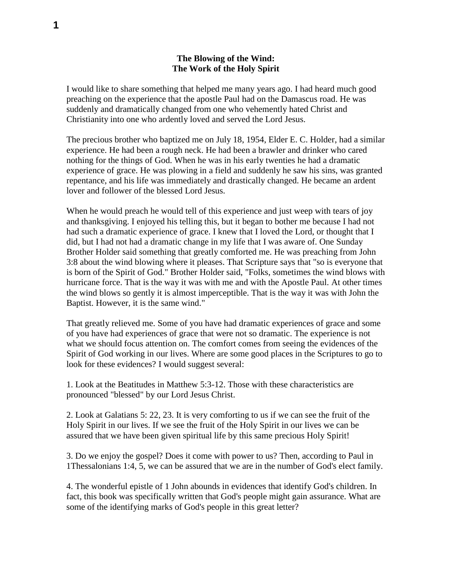## **The Blowing of the Wind: The Work of the Holy Spirit**

I would like to share something that helped me many years ago. I had heard much good preaching on the experience that the apostle Paul had on the Damascus road. He was suddenly and dramatically changed from one who vehemently hated Christ and Christianity into one who ardently loved and served the Lord Jesus.

The precious brother who baptized me on July 18, 1954, Elder E. C. Holder, had a similar experience. He had been a rough neck. He had been a brawler and drinker who cared nothing for the things of God. When he was in his early twenties he had a dramatic experience of grace. He was plowing in a field and suddenly he saw his sins, was granted repentance, and his life was immediately and drastically changed. He became an ardent lover and follower of the blessed Lord Jesus.

When he would preach he would tell of this experience and just weep with tears of joy and thanksgiving. I enjoyed his telling this, but it began to bother me because I had not had such a dramatic experience of grace. I knew that I loved the Lord, or thought that I did, but I had not had a dramatic change in my life that I was aware of. One Sunday Brother Holder said something that greatly comforted me. He was preaching from John 3:8 about the wind blowing where it pleases. That Scripture says that "so is everyone that is born of the Spirit of God." Brother Holder said, "Folks, sometimes the wind blows with hurricane force. That is the way it was with me and with the Apostle Paul. At other times the wind blows so gently it is almost imperceptible. That is the way it was with John the Baptist. However, it is the same wind."

That greatly relieved me. Some of you have had dramatic experiences of grace and some of you have had experiences of grace that were not so dramatic. The experience is not what we should focus attention on. The comfort comes from seeing the evidences of the Spirit of God working in our lives. Where are some good places in the Scriptures to go to look for these evidences? I would suggest several:

1. Look at the Beatitudes in Matthew 5:3-12. Those with these characteristics are pronounced "blessed" by our Lord Jesus Christ.

2. Look at Galatians 5: 22, 23. It is very comforting to us if we can see the fruit of the Holy Spirit in our lives. If we see the fruit of the Holy Spirit in our lives we can be assured that we have been given spiritual life by this same precious Holy Spirit!

3. Do we enjoy the gospel? Does it come with power to us? Then, according to Paul in 1Thessalonians 1:4, 5, we can be assured that we are in the number of God's elect family.

4. The wonderful epistle of 1 John abounds in evidences that identify God's children. In fact, this book was specifically written that God's people might gain assurance. What are some of the identifying marks of God's people in this great letter?